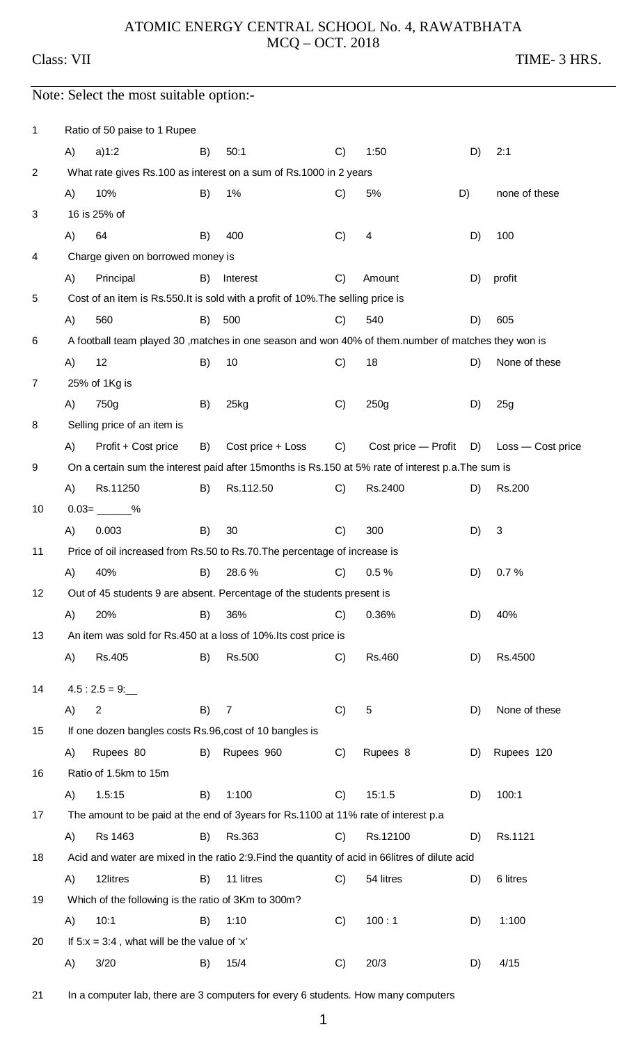## ATOMIC ENERGY CENTRAL SCHOOL No. 4, RAWATBHATA MCQ – OCT. 2018

Class: VII TIME- 3 HRS.

## Note: Select the most suitable option:-

| $\mathbf 1$ |    | Ratio of 50 paise to 1 Rupee                                                                        |    |                                                                                                     |               |                     |    |                   |  |  |  |
|-------------|----|-----------------------------------------------------------------------------------------------------|----|-----------------------------------------------------------------------------------------------------|---------------|---------------------|----|-------------------|--|--|--|
|             | A) | a)1:2                                                                                               | B) | 50:1                                                                                                | C)            | 1:50                | D) | 2:1               |  |  |  |
| 2           |    |                                                                                                     |    | What rate gives Rs.100 as interest on a sum of Rs.1000 in 2 years                                   |               |                     |    |                   |  |  |  |
|             | A) | 10%                                                                                                 | B) | 1%                                                                                                  | C)            | 5%                  | D) | none of these     |  |  |  |
| 3           |    | 16 is 25% of                                                                                        |    |                                                                                                     |               |                     |    |                   |  |  |  |
|             | A) | 64                                                                                                  | B) | 400                                                                                                 | C)            | 4                   | D) | 100               |  |  |  |
| 4           |    | Charge given on borrowed money is                                                                   |    |                                                                                                     |               |                     |    |                   |  |  |  |
|             | A) | Principal                                                                                           | B) | Interest                                                                                            | C)            | Amount              | D) | profit            |  |  |  |
| 5           |    |                                                                                                     |    | Cost of an item is Rs.550. It is sold with a profit of 10%. The selling price is                    |               |                     |    |                   |  |  |  |
|             | A) | 560                                                                                                 | B) | 500                                                                                                 | C)            | 540                 | D) | 605               |  |  |  |
| 6           |    |                                                                                                     |    | A football team played 30 , matches in one season and won 40% of them.number of matches they won is |               |                     |    |                   |  |  |  |
|             | A) | 12                                                                                                  | B) | 10                                                                                                  | C)            | 18                  | D) | None of these     |  |  |  |
| 7           |    | 25% of 1Kg is                                                                                       |    |                                                                                                     |               |                     |    |                   |  |  |  |
|             | A) | 750g                                                                                                | B) | 25kg                                                                                                | C)            | 250g                | D) | 25g               |  |  |  |
| 8           |    | Selling price of an item is                                                                         |    |                                                                                                     |               |                     |    |                   |  |  |  |
|             | A) | Profit + Cost price                                                                                 | B) | Cost price + Loss                                                                                   | C)            | Cost price — Profit | D) | Loss - Cost price |  |  |  |
| 9           |    | On a certain sum the interest paid after 15 months is Rs.150 at 5% rate of interest p.a. The sum is |    |                                                                                                     |               |                     |    |                   |  |  |  |
|             | A) | Rs.11250                                                                                            | B) | Rs.112.50                                                                                           | C)            | Rs.2400             | D) | Rs.200            |  |  |  |
| 10          |    | $0.03 =$ ________%                                                                                  |    |                                                                                                     |               |                     |    |                   |  |  |  |
|             | A) | 0.003                                                                                               | B) | 30                                                                                                  | C)            | 300                 | D) | 3                 |  |  |  |
| 11          |    | Price of oil increased from Rs.50 to Rs.70. The percentage of increase is                           |    |                                                                                                     |               |                     |    |                   |  |  |  |
|             | A) | 40%                                                                                                 | B) | 28.6%                                                                                               | C)            | 0.5%                | D) | 0.7%              |  |  |  |
| 12          |    |                                                                                                     |    | Out of 45 students 9 are absent. Percentage of the students present is                              |               |                     |    |                   |  |  |  |
|             | A) | 20%                                                                                                 | B) | 36%                                                                                                 | C)            | 0.36%               | D) | 40%               |  |  |  |
| 13          |    |                                                                                                     |    | An item was sold for Rs.450 at a loss of 10%. Its cost price is                                     |               |                     |    |                   |  |  |  |
|             | A) | Rs.405                                                                                              | B) | Rs.500                                                                                              | C)            | Rs.460              | D) | Rs.4500           |  |  |  |
| 14          |    | $4.5:2.5=9:$                                                                                        |    |                                                                                                     |               |                     |    |                   |  |  |  |
|             | A) | 2                                                                                                   | B) | 7                                                                                                   | C)            | $\sqrt{5}$          | D) | None of these     |  |  |  |
| 15          |    | If one dozen bangles costs Rs.96, cost of 10 bangles is                                             |    |                                                                                                     |               |                     |    |                   |  |  |  |
|             | A) | Rupees 80                                                                                           | B) | Rupees 960                                                                                          | C)            | Rupees 8            | D) | Rupees 120        |  |  |  |
| 16          |    | Ratio of 1.5km to 15m                                                                               |    |                                                                                                     |               |                     |    |                   |  |  |  |
|             | A) | 1.5:15                                                                                              | B) | 1:100                                                                                               | C)            | 15:1.5              | D) | 100:1             |  |  |  |
| 17          |    |                                                                                                     |    | The amount to be paid at the end of 3years for Rs.1100 at 11% rate of interest p.a.                 |               |                     |    |                   |  |  |  |
|             | A) | Rs 1463                                                                                             | B) | Rs.363                                                                                              | C)            | Rs.12100            | D) | Rs.1121           |  |  |  |
| 18          |    |                                                                                                     |    | Acid and water are mixed in the ratio 2:9. Find the quantity of acid in 66litres of dilute acid     |               |                     |    |                   |  |  |  |
|             | A) | 12litres                                                                                            | B) | 11 litres                                                                                           | C)            | 54 litres           | D) | 6 litres          |  |  |  |
| 19          |    | Which of the following is the ratio of 3Km to 300m?                                                 |    |                                                                                                     |               |                     |    |                   |  |  |  |
|             | A) | 10:1                                                                                                | B) | 1:10                                                                                                | C)            | 100:1               | D) | 1:100             |  |  |  |
| 20          |    | If $5:x = 3:4$ , what will be the value of 'x'                                                      |    |                                                                                                     |               |                     |    |                   |  |  |  |
|             | A) | 3/20                                                                                                | B) | 15/4                                                                                                | $\mathcal{C}$ | 20/3                | D) | 4/15              |  |  |  |

21 In a computer lab, there are 3 computers for every 6 students. How many computers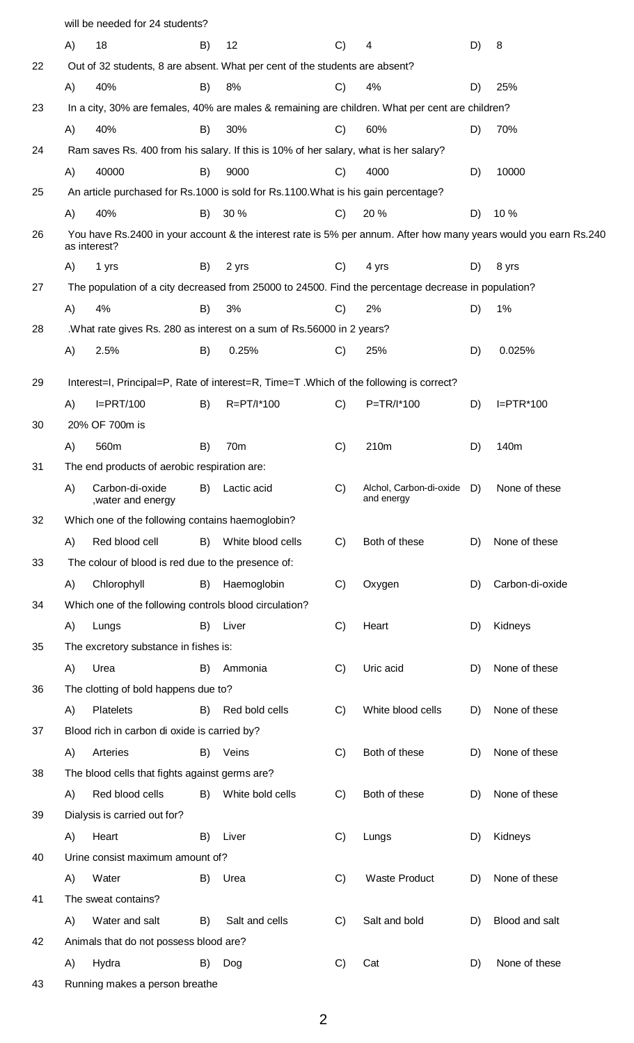|    |                                                  | will be needed for 24 students?                        |    |                                                                                                     |    |                                       |    |                                                                                                                  |  |  |  |
|----|--------------------------------------------------|--------------------------------------------------------|----|-----------------------------------------------------------------------------------------------------|----|---------------------------------------|----|------------------------------------------------------------------------------------------------------------------|--|--|--|
|    | A)                                               | 18                                                     | B) | 12                                                                                                  | C) | 4                                     | D) | 8                                                                                                                |  |  |  |
| 22 |                                                  |                                                        |    | Out of 32 students, 8 are absent. What per cent of the students are absent?                         |    |                                       |    |                                                                                                                  |  |  |  |
|    | A)                                               | 40%                                                    | B) | 8%                                                                                                  | C) | 4%                                    | D) | 25%                                                                                                              |  |  |  |
| 23 |                                                  |                                                        |    | In a city, 30% are females, 40% are males & remaining are children. What per cent are children?     |    |                                       |    |                                                                                                                  |  |  |  |
|    | A)                                               | 40%                                                    | B) | 30%                                                                                                 | C) | 60%                                   | D) | 70%                                                                                                              |  |  |  |
| 24 |                                                  |                                                        |    | Ram saves Rs. 400 from his salary. If this is 10% of her salary, what is her salary?                |    |                                       |    |                                                                                                                  |  |  |  |
|    | A)                                               | 40000                                                  | B) | 9000                                                                                                | C) | 4000                                  | D) | 10000                                                                                                            |  |  |  |
| 25 |                                                  |                                                        |    | An article purchased for Rs.1000 is sold for Rs.1100. What is his gain percentage?                  |    |                                       |    |                                                                                                                  |  |  |  |
|    | A)                                               | 40%                                                    | B) | 30 %                                                                                                | C) | 20 %                                  | D) | 10 %                                                                                                             |  |  |  |
| 26 |                                                  | as interest?                                           |    |                                                                                                     |    |                                       |    | You have Rs.2400 in your account & the interest rate is 5% per annum. After how many years would you earn Rs.240 |  |  |  |
|    | A)                                               | 1 yrs                                                  | B) | 2 yrs                                                                                               | C) | 4 yrs                                 | D) | 8 yrs                                                                                                            |  |  |  |
| 27 |                                                  |                                                        |    | The population of a city decreased from 25000 to 24500. Find the percentage decrease in population? |    |                                       |    |                                                                                                                  |  |  |  |
|    | A)                                               | 4%                                                     | B) | 3%                                                                                                  | C) | 2%                                    | D) | 1%                                                                                                               |  |  |  |
| 28 |                                                  |                                                        |    | .What rate gives Rs. 280 as interest on a sum of Rs. 56000 in 2 years?                              |    |                                       |    |                                                                                                                  |  |  |  |
|    | A)                                               | 2.5%                                                   | B) | 0.25%                                                                                               | C) | 25%                                   | D) | 0.025%                                                                                                           |  |  |  |
|    |                                                  |                                                        |    |                                                                                                     |    |                                       |    |                                                                                                                  |  |  |  |
| 29 |                                                  |                                                        |    | Interest=I, Principal=P, Rate of interest=R, Time=T .Which of the following is correct?             |    |                                       |    |                                                                                                                  |  |  |  |
|    | A)                                               | $I=$ PRT/100                                           | B) | R=PT/I*100                                                                                          | C) | P=TR/I*100                            | D) | $I=PTR*100$                                                                                                      |  |  |  |
| 30 |                                                  | 20% OF 700m is                                         |    |                                                                                                     |    |                                       |    |                                                                                                                  |  |  |  |
|    | A)                                               | 560m                                                   | B) | 70 <sub>m</sub>                                                                                     | C) | 210m                                  | D) | 140m                                                                                                             |  |  |  |
| 31 |                                                  | The end products of aerobic respiration are:           |    |                                                                                                     |    |                                       |    |                                                                                                                  |  |  |  |
|    | A)                                               | Carbon-di-oxide<br>, water and energy                  | B) | Lactic acid                                                                                         | C) | Alchol, Carbon-di-oxide<br>and energy | D) | None of these                                                                                                    |  |  |  |
| 32 | Which one of the following contains haemoglobin? |                                                        |    |                                                                                                     |    |                                       |    |                                                                                                                  |  |  |  |
|    | A)                                               | Red blood cell                                         | B) | White blood cells                                                                                   | C) | Both of these                         | D) | None of these                                                                                                    |  |  |  |
| 33 |                                                  | The colour of blood is red due to the presence of:     |    |                                                                                                     |    |                                       |    |                                                                                                                  |  |  |  |
|    | A)                                               | Chlorophyll                                            | B) | Haemoglobin                                                                                         | C) | Oxygen                                | D) | Carbon-di-oxide                                                                                                  |  |  |  |
| 34 |                                                  | Which one of the following controls blood circulation? |    |                                                                                                     |    |                                       |    |                                                                                                                  |  |  |  |
|    | A)                                               | Lungs                                                  | B) | Liver                                                                                               | C) | Heart                                 | D) | Kidneys                                                                                                          |  |  |  |
| 35 |                                                  | The excretory substance in fishes is:                  |    |                                                                                                     |    |                                       |    |                                                                                                                  |  |  |  |
|    | A)                                               | Urea                                                   | B) | Ammonia                                                                                             | C) | Uric acid                             | D) | None of these                                                                                                    |  |  |  |
| 36 |                                                  | The clotting of bold happens due to?                   |    |                                                                                                     |    |                                       |    |                                                                                                                  |  |  |  |
|    | A)                                               | Platelets                                              | B) | Red bold cells                                                                                      | C) | White blood cells                     | D) | None of these                                                                                                    |  |  |  |
| 37 |                                                  | Blood rich in carbon di oxide is carried by?           |    |                                                                                                     |    |                                       |    |                                                                                                                  |  |  |  |
|    | A)                                               | Arteries                                               | B) | Veins                                                                                               | C) | Both of these                         | D) | None of these                                                                                                    |  |  |  |
| 38 |                                                  | The blood cells that fights against germs are?         |    |                                                                                                     |    |                                       |    |                                                                                                                  |  |  |  |
|    | A)                                               | Red blood cells                                        | B) | White bold cells                                                                                    | C) | Both of these                         | D) | None of these                                                                                                    |  |  |  |
| 39 |                                                  | Dialysis is carried out for?                           |    |                                                                                                     |    |                                       |    |                                                                                                                  |  |  |  |
|    | A)                                               | Heart                                                  | B) | Liver                                                                                               | C) | Lungs                                 | D) | Kidneys                                                                                                          |  |  |  |
| 40 |                                                  | Urine consist maximum amount of?                       |    |                                                                                                     |    |                                       |    |                                                                                                                  |  |  |  |
|    | A)                                               | Water                                                  | B) | Urea                                                                                                | C) | <b>Waste Product</b>                  | D) | None of these                                                                                                    |  |  |  |
| 41 |                                                  | The sweat contains?                                    |    |                                                                                                     |    |                                       |    |                                                                                                                  |  |  |  |
|    | A)                                               | Water and salt                                         | B) | Salt and cells                                                                                      | C) | Salt and bold                         | D) | Blood and salt                                                                                                   |  |  |  |
| 42 |                                                  | Animals that do not possess blood are?                 |    |                                                                                                     |    |                                       |    |                                                                                                                  |  |  |  |
|    | A)                                               | Hydra                                                  | B) | Dog                                                                                                 | C) | Cat                                   | D) | None of these                                                                                                    |  |  |  |
| 43 |                                                  | Running makes a person breathe                         |    |                                                                                                     |    |                                       |    |                                                                                                                  |  |  |  |
|    |                                                  |                                                        |    |                                                                                                     |    |                                       |    |                                                                                                                  |  |  |  |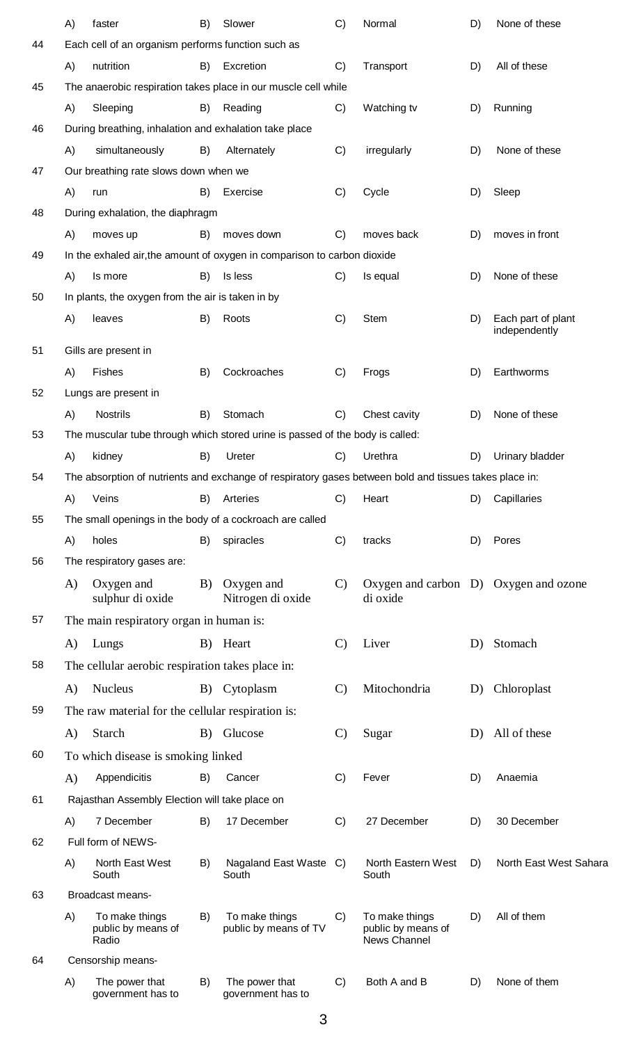|    | A)       | faster                                        | B)                                                                                                                                                                                                                                                                                                                                                                                                                                                                                                                                                                                                                                                                                                                                                                                                                                                                                                                                                                                                                                                                                                                                                                                                                                                                                                                                                                                                                                                                                                                                                                                                                                              | Slower                                  | C) | Normal                                               | D) | None of these  |
|----|----------|-----------------------------------------------|-------------------------------------------------------------------------------------------------------------------------------------------------------------------------------------------------------------------------------------------------------------------------------------------------------------------------------------------------------------------------------------------------------------------------------------------------------------------------------------------------------------------------------------------------------------------------------------------------------------------------------------------------------------------------------------------------------------------------------------------------------------------------------------------------------------------------------------------------------------------------------------------------------------------------------------------------------------------------------------------------------------------------------------------------------------------------------------------------------------------------------------------------------------------------------------------------------------------------------------------------------------------------------------------------------------------------------------------------------------------------------------------------------------------------------------------------------------------------------------------------------------------------------------------------------------------------------------------------------------------------------------------------|-----------------------------------------|----|------------------------------------------------------|----|----------------|
| 44 |          |                                               |                                                                                                                                                                                                                                                                                                                                                                                                                                                                                                                                                                                                                                                                                                                                                                                                                                                                                                                                                                                                                                                                                                                                                                                                                                                                                                                                                                                                                                                                                                                                                                                                                                                 |                                         |    |                                                      |    |                |
|    | A)       | nutrition                                     | B)                                                                                                                                                                                                                                                                                                                                                                                                                                                                                                                                                                                                                                                                                                                                                                                                                                                                                                                                                                                                                                                                                                                                                                                                                                                                                                                                                                                                                                                                                                                                                                                                                                              | Excretion                               | C) | Transport                                            | D) | All of these   |
| 45 |          |                                               |                                                                                                                                                                                                                                                                                                                                                                                                                                                                                                                                                                                                                                                                                                                                                                                                                                                                                                                                                                                                                                                                                                                                                                                                                                                                                                                                                                                                                                                                                                                                                                                                                                                 |                                         |    |                                                      |    |                |
|    | A)       | Sleeping                                      | B)                                                                                                                                                                                                                                                                                                                                                                                                                                                                                                                                                                                                                                                                                                                                                                                                                                                                                                                                                                                                                                                                                                                                                                                                                                                                                                                                                                                                                                                                                                                                                                                                                                              | Reading                                 | C) | Watching tv                                          | D) | Running        |
| 46 |          |                                               |                                                                                                                                                                                                                                                                                                                                                                                                                                                                                                                                                                                                                                                                                                                                                                                                                                                                                                                                                                                                                                                                                                                                                                                                                                                                                                                                                                                                                                                                                                                                                                                                                                                 |                                         |    |                                                      |    |                |
|    | A)       | simultaneously                                | B)                                                                                                                                                                                                                                                                                                                                                                                                                                                                                                                                                                                                                                                                                                                                                                                                                                                                                                                                                                                                                                                                                                                                                                                                                                                                                                                                                                                                                                                                                                                                                                                                                                              | Alternately                             | C) | irregularly                                          | D) | None of these  |
| 47 |          | Our breathing rate slows down when we         |                                                                                                                                                                                                                                                                                                                                                                                                                                                                                                                                                                                                                                                                                                                                                                                                                                                                                                                                                                                                                                                                                                                                                                                                                                                                                                                                                                                                                                                                                                                                                                                                                                                 |                                         |    |                                                      |    |                |
|    | A)       | run                                           | B)                                                                                                                                                                                                                                                                                                                                                                                                                                                                                                                                                                                                                                                                                                                                                                                                                                                                                                                                                                                                                                                                                                                                                                                                                                                                                                                                                                                                                                                                                                                                                                                                                                              | Exercise                                | C) | Cycle                                                | D) | Sleep          |
| 48 |          | During exhalation, the diaphragm              |                                                                                                                                                                                                                                                                                                                                                                                                                                                                                                                                                                                                                                                                                                                                                                                                                                                                                                                                                                                                                                                                                                                                                                                                                                                                                                                                                                                                                                                                                                                                                                                                                                                 |                                         |    |                                                      |    |                |
|    | A)       | moves up                                      | B)                                                                                                                                                                                                                                                                                                                                                                                                                                                                                                                                                                                                                                                                                                                                                                                                                                                                                                                                                                                                                                                                                                                                                                                                                                                                                                                                                                                                                                                                                                                                                                                                                                              | moves down                              | C) | moves back                                           | D) | moves in front |
| 49 |          |                                               |                                                                                                                                                                                                                                                                                                                                                                                                                                                                                                                                                                                                                                                                                                                                                                                                                                                                                                                                                                                                                                                                                                                                                                                                                                                                                                                                                                                                                                                                                                                                                                                                                                                 |                                         |    |                                                      |    |                |
|    | A)       | Is more                                       | B)                                                                                                                                                                                                                                                                                                                                                                                                                                                                                                                                                                                                                                                                                                                                                                                                                                                                                                                                                                                                                                                                                                                                                                                                                                                                                                                                                                                                                                                                                                                                                                                                                                              | Is less                                 | C) | Is equal                                             | D) | None of these  |
| 50 |          |                                               | Each cell of an organism performs function such as<br>The anaerobic respiration takes place in our muscle cell while<br>During breathing, inhalation and exhalation take place<br>In the exhaled air, the amount of oxygen in comparison to carbon dioxide<br>In plants, the oxygen from the air is taken in by<br>B)<br>Roots<br>C)<br><b>Stem</b><br>Each part of plant<br>D)<br>independently<br>Cockroaches<br>Earthworms<br>B)<br>C)<br>Frogs<br>D)<br>Stomach<br>Chest cavity<br>None of these<br>C)<br>D)<br>B)<br>The muscular tube through which stored urine is passed of the body is called:<br>Urethra<br>B)<br>Ureter<br>C)<br>D)<br>Urinary bladder<br>The absorption of nutrients and exchange of respiratory gases between bold and tissues takes place in:<br>Arteries<br>C)<br>Heart<br>Capillaries<br>B)<br>D)<br>The small openings in the body of a cockroach are called<br>C)<br>spiracles<br>tracks<br>D)<br>Pores<br>B)<br>$\mathbf{C}$<br>Oxygen and carbon D) Oxygen and ozone<br>B)<br>Oxygen and<br>Nitrogen di oxide<br>di oxide<br>Liver<br>Heart<br>$\mathbf{C}$<br>Stomach<br>B)<br>D)<br>The cellular aerobic respiration takes place in:<br>Mitochondria<br>Chloroplast<br>B) Cytoplasm<br>$\mathcal{C}$<br>D)<br>The raw material for the cellular respiration is:<br>All of these<br>Glucose<br>$\mathcal{C}$<br>B)<br>Sugar<br>D)<br>C)<br>B)<br>Cancer<br>Fever<br>D)<br>Anaemia<br>Rajasthan Assembly Election will take place on<br>C)<br>27 December<br>B)<br>17 December<br>D)<br>30 December<br>North East West Sahara<br>B)<br>Nagaland East Waste C)<br>North Eastern West<br>D)<br>South<br>South |                                         |    |                                                      |    |                |
|    | A)       | leaves                                        |                                                                                                                                                                                                                                                                                                                                                                                                                                                                                                                                                                                                                                                                                                                                                                                                                                                                                                                                                                                                                                                                                                                                                                                                                                                                                                                                                                                                                                                                                                                                                                                                                                                 |                                         |    |                                                      |    |                |
| 51 |          | Gills are present in                          |                                                                                                                                                                                                                                                                                                                                                                                                                                                                                                                                                                                                                                                                                                                                                                                                                                                                                                                                                                                                                                                                                                                                                                                                                                                                                                                                                                                                                                                                                                                                                                                                                                                 |                                         |    |                                                      |    |                |
|    | A)       | Fishes                                        |                                                                                                                                                                                                                                                                                                                                                                                                                                                                                                                                                                                                                                                                                                                                                                                                                                                                                                                                                                                                                                                                                                                                                                                                                                                                                                                                                                                                                                                                                                                                                                                                                                                 |                                         |    |                                                      |    |                |
| 52 |          | Lungs are present in                          |                                                                                                                                                                                                                                                                                                                                                                                                                                                                                                                                                                                                                                                                                                                                                                                                                                                                                                                                                                                                                                                                                                                                                                                                                                                                                                                                                                                                                                                                                                                                                                                                                                                 |                                         |    |                                                      |    |                |
|    | A)       | <b>Nostrils</b>                               |                                                                                                                                                                                                                                                                                                                                                                                                                                                                                                                                                                                                                                                                                                                                                                                                                                                                                                                                                                                                                                                                                                                                                                                                                                                                                                                                                                                                                                                                                                                                                                                                                                                 |                                         |    |                                                      |    |                |
| 53 |          |                                               |                                                                                                                                                                                                                                                                                                                                                                                                                                                                                                                                                                                                                                                                                                                                                                                                                                                                                                                                                                                                                                                                                                                                                                                                                                                                                                                                                                                                                                                                                                                                                                                                                                                 |                                         |    |                                                      |    |                |
|    | A)       | kidney                                        |                                                                                                                                                                                                                                                                                                                                                                                                                                                                                                                                                                                                                                                                                                                                                                                                                                                                                                                                                                                                                                                                                                                                                                                                                                                                                                                                                                                                                                                                                                                                                                                                                                                 |                                         |    |                                                      |    |                |
| 54 |          |                                               |                                                                                                                                                                                                                                                                                                                                                                                                                                                                                                                                                                                                                                                                                                                                                                                                                                                                                                                                                                                                                                                                                                                                                                                                                                                                                                                                                                                                                                                                                                                                                                                                                                                 |                                         |    |                                                      |    |                |
|    | A)       | Veins                                         |                                                                                                                                                                                                                                                                                                                                                                                                                                                                                                                                                                                                                                                                                                                                                                                                                                                                                                                                                                                                                                                                                                                                                                                                                                                                                                                                                                                                                                                                                                                                                                                                                                                 |                                         |    |                                                      |    |                |
| 55 |          |                                               |                                                                                                                                                                                                                                                                                                                                                                                                                                                                                                                                                                                                                                                                                                                                                                                                                                                                                                                                                                                                                                                                                                                                                                                                                                                                                                                                                                                                                                                                                                                                                                                                                                                 |                                         |    |                                                      |    |                |
|    | A)       | holes                                         |                                                                                                                                                                                                                                                                                                                                                                                                                                                                                                                                                                                                                                                                                                                                                                                                                                                                                                                                                                                                                                                                                                                                                                                                                                                                                                                                                                                                                                                                                                                                                                                                                                                 |                                         |    |                                                      |    |                |
| 56 |          | The respiratory gases are:                    |                                                                                                                                                                                                                                                                                                                                                                                                                                                                                                                                                                                                                                                                                                                                                                                                                                                                                                                                                                                                                                                                                                                                                                                                                                                                                                                                                                                                                                                                                                                                                                                                                                                 |                                         |    |                                                      |    |                |
|    | $\bf{A}$ | Oxygen and<br>sulphur di oxide                |                                                                                                                                                                                                                                                                                                                                                                                                                                                                                                                                                                                                                                                                                                                                                                                                                                                                                                                                                                                                                                                                                                                                                                                                                                                                                                                                                                                                                                                                                                                                                                                                                                                 |                                         |    |                                                      |    |                |
| 57 |          | The main respiratory organ in human is:       |                                                                                                                                                                                                                                                                                                                                                                                                                                                                                                                                                                                                                                                                                                                                                                                                                                                                                                                                                                                                                                                                                                                                                                                                                                                                                                                                                                                                                                                                                                                                                                                                                                                 |                                         |    |                                                      |    |                |
|    | A)       | Lungs                                         |                                                                                                                                                                                                                                                                                                                                                                                                                                                                                                                                                                                                                                                                                                                                                                                                                                                                                                                                                                                                                                                                                                                                                                                                                                                                                                                                                                                                                                                                                                                                                                                                                                                 |                                         |    |                                                      |    |                |
| 58 |          |                                               |                                                                                                                                                                                                                                                                                                                                                                                                                                                                                                                                                                                                                                                                                                                                                                                                                                                                                                                                                                                                                                                                                                                                                                                                                                                                                                                                                                                                                                                                                                                                                                                                                                                 |                                         |    |                                                      |    |                |
|    | A)       | <b>Nucleus</b>                                |                                                                                                                                                                                                                                                                                                                                                                                                                                                                                                                                                                                                                                                                                                                                                                                                                                                                                                                                                                                                                                                                                                                                                                                                                                                                                                                                                                                                                                                                                                                                                                                                                                                 |                                         |    |                                                      |    |                |
| 59 |          |                                               |                                                                                                                                                                                                                                                                                                                                                                                                                                                                                                                                                                                                                                                                                                                                                                                                                                                                                                                                                                                                                                                                                                                                                                                                                                                                                                                                                                                                                                                                                                                                                                                                                                                 |                                         |    |                                                      |    |                |
|    | A)       | Starch                                        |                                                                                                                                                                                                                                                                                                                                                                                                                                                                                                                                                                                                                                                                                                                                                                                                                                                                                                                                                                                                                                                                                                                                                                                                                                                                                                                                                                                                                                                                                                                                                                                                                                                 |                                         |    |                                                      |    |                |
| 60 |          | To which disease is smoking linked            |                                                                                                                                                                                                                                                                                                                                                                                                                                                                                                                                                                                                                                                                                                                                                                                                                                                                                                                                                                                                                                                                                                                                                                                                                                                                                                                                                                                                                                                                                                                                                                                                                                                 |                                         |    |                                                      |    |                |
|    | $\bf{A}$ | Appendicitis                                  |                                                                                                                                                                                                                                                                                                                                                                                                                                                                                                                                                                                                                                                                                                                                                                                                                                                                                                                                                                                                                                                                                                                                                                                                                                                                                                                                                                                                                                                                                                                                                                                                                                                 |                                         |    |                                                      |    |                |
| 61 |          |                                               |                                                                                                                                                                                                                                                                                                                                                                                                                                                                                                                                                                                                                                                                                                                                                                                                                                                                                                                                                                                                                                                                                                                                                                                                                                                                                                                                                                                                                                                                                                                                                                                                                                                 |                                         |    |                                                      |    |                |
|    | A)       | 7 December                                    |                                                                                                                                                                                                                                                                                                                                                                                                                                                                                                                                                                                                                                                                                                                                                                                                                                                                                                                                                                                                                                                                                                                                                                                                                                                                                                                                                                                                                                                                                                                                                                                                                                                 |                                         |    |                                                      |    |                |
| 62 |          | Full form of NEWS-                            |                                                                                                                                                                                                                                                                                                                                                                                                                                                                                                                                                                                                                                                                                                                                                                                                                                                                                                                                                                                                                                                                                                                                                                                                                                                                                                                                                                                                                                                                                                                                                                                                                                                 |                                         |    |                                                      |    |                |
|    | A)       | North East West<br>South                      |                                                                                                                                                                                                                                                                                                                                                                                                                                                                                                                                                                                                                                                                                                                                                                                                                                                                                                                                                                                                                                                                                                                                                                                                                                                                                                                                                                                                                                                                                                                                                                                                                                                 |                                         |    |                                                      |    |                |
| 63 |          | Broadcast means-                              |                                                                                                                                                                                                                                                                                                                                                                                                                                                                                                                                                                                                                                                                                                                                                                                                                                                                                                                                                                                                                                                                                                                                                                                                                                                                                                                                                                                                                                                                                                                                                                                                                                                 |                                         |    |                                                      |    |                |
|    | A)       | To make things<br>public by means of<br>Radio | B)                                                                                                                                                                                                                                                                                                                                                                                                                                                                                                                                                                                                                                                                                                                                                                                                                                                                                                                                                                                                                                                                                                                                                                                                                                                                                                                                                                                                                                                                                                                                                                                                                                              | To make things<br>public by means of TV | C) | To make things<br>public by means of<br>News Channel | D) | All of them    |
| 64 |          | Censorship means-                             |                                                                                                                                                                                                                                                                                                                                                                                                                                                                                                                                                                                                                                                                                                                                                                                                                                                                                                                                                                                                                                                                                                                                                                                                                                                                                                                                                                                                                                                                                                                                                                                                                                                 |                                         |    |                                                      |    |                |
|    | A)       | The power that<br>government has to           | B)                                                                                                                                                                                                                                                                                                                                                                                                                                                                                                                                                                                                                                                                                                                                                                                                                                                                                                                                                                                                                                                                                                                                                                                                                                                                                                                                                                                                                                                                                                                                                                                                                                              | The power that<br>government has to     | C) | Both A and B                                         | D) | None of them   |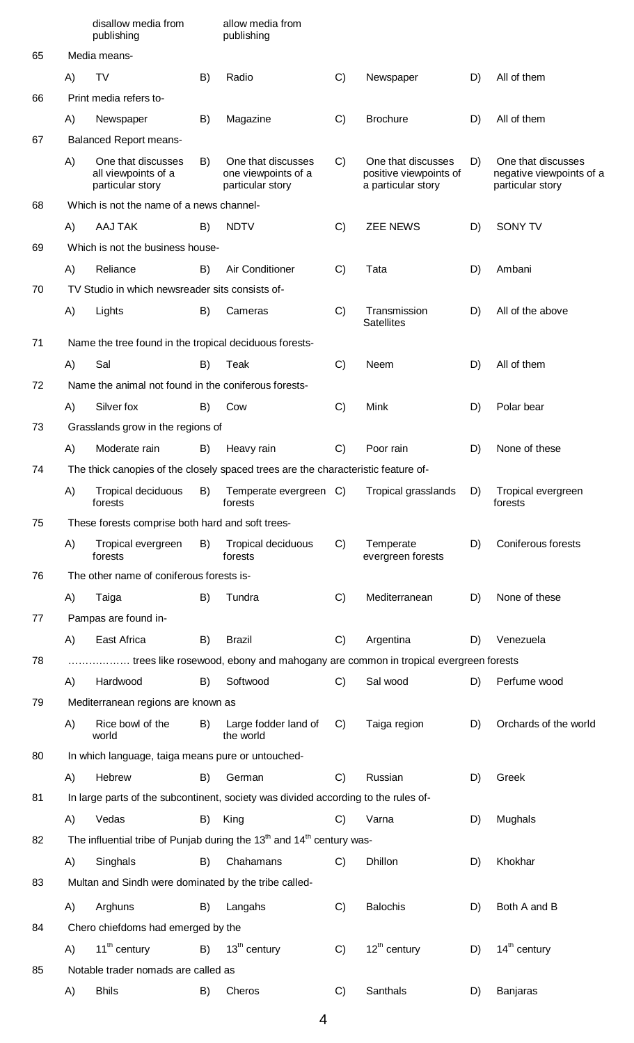|    |    | disallow media from<br>publishing                             |    | allow media from<br>publishing                                                                |    |                                                                    |    |                                                                    |
|----|----|---------------------------------------------------------------|----|-----------------------------------------------------------------------------------------------|----|--------------------------------------------------------------------|----|--------------------------------------------------------------------|
| 65 |    | Media means-                                                  |    |                                                                                               |    |                                                                    |    |                                                                    |
|    | A) | <b>TV</b>                                                     | B) | Radio                                                                                         | C) | Newspaper                                                          | D) | All of them                                                        |
| 66 |    | Print media refers to-                                        |    |                                                                                               |    |                                                                    |    |                                                                    |
|    | A) | Newspaper                                                     | B) | Magazine                                                                                      | C) | <b>Brochure</b>                                                    | D) | All of them                                                        |
| 67 |    | <b>Balanced Report means-</b>                                 |    |                                                                                               |    |                                                                    |    |                                                                    |
|    | A) | One that discusses<br>all viewpoints of a<br>particular story | B) | One that discusses<br>one viewpoints of a<br>particular story                                 | C) | One that discusses<br>positive viewpoints of<br>a particular story | D) | One that discusses<br>negative viewpoints of a<br>particular story |
| 68 |    | Which is not the name of a news channel-                      |    |                                                                                               |    |                                                                    |    |                                                                    |
|    | A) | AAJ TAK                                                       | B) | <b>NDTV</b>                                                                                   | C) | <b>ZEE NEWS</b>                                                    | D) | SONY TV                                                            |
| 69 |    | Which is not the business house-                              |    |                                                                                               |    |                                                                    |    |                                                                    |
|    | A) | Reliance                                                      | B) | Air Conditioner                                                                               | C) | Tata                                                               | D) | Ambani                                                             |
| 70 |    | TV Studio in which newsreader sits consists of-               |    |                                                                                               |    |                                                                    |    |                                                                    |
|    | A) | Lights                                                        | B) | Cameras                                                                                       | C) | Transmission<br><b>Satellites</b>                                  | D) | All of the above                                                   |
| 71 |    | Name the tree found in the tropical deciduous forests-        |    |                                                                                               |    |                                                                    |    |                                                                    |
|    | A) | Sal                                                           | B) | Teak                                                                                          | C) | Neem                                                               | D) | All of them                                                        |
| 72 |    | Name the animal not found in the coniferous forests-          |    |                                                                                               |    |                                                                    |    |                                                                    |
|    | A) | Silver fox                                                    | B) | Cow                                                                                           | C) | Mink                                                               | D) | Polar bear                                                         |
| 73 |    | Grasslands grow in the regions of                             |    |                                                                                               |    |                                                                    |    |                                                                    |
|    | A) | Moderate rain                                                 | B) | Heavy rain                                                                                    | C) | Poor rain                                                          | D) | None of these                                                      |
| 74 |    |                                                               |    | The thick canopies of the closely spaced trees are the characteristic feature of-             |    |                                                                    |    |                                                                    |
|    | A) | Tropical deciduous<br>forests                                 | B) | Temperate evergreen C)<br>forests                                                             |    | Tropical grasslands                                                | D) | Tropical evergreen<br>forests                                      |
| 75 |    | These forests comprise both hard and soft trees-              |    |                                                                                               |    |                                                                    |    |                                                                    |
|    | A) | Tropical evergreen<br>forests                                 | B) | Tropical deciduous<br>forests                                                                 | C) | Temperate<br>evergreen forests                                     | D) | Coniferous forests                                                 |
| 76 |    | The other name of coniferous forests is-                      |    |                                                                                               |    |                                                                    |    |                                                                    |
|    | A) | Taiga                                                         | B) | Tundra                                                                                        | C) | Mediterranean                                                      | D) | None of these                                                      |
| 77 |    | Pampas are found in-                                          |    |                                                                                               |    |                                                                    |    |                                                                    |
|    | A) | East Africa                                                   | B) | <b>Brazil</b>                                                                                 | C) | Argentina                                                          | D) | Venezuela                                                          |
| 78 |    |                                                               |    | trees like rosewood, ebony and mahogany are common in tropical evergreen forests              |    |                                                                    |    |                                                                    |
|    | A) | Hardwood                                                      | B) | Softwood                                                                                      | C) | Sal wood                                                           | D) | Perfume wood                                                       |
| 79 |    | Mediterranean regions are known as                            |    |                                                                                               |    |                                                                    |    |                                                                    |
|    | A) | Rice bowl of the<br>world                                     | B) | Large fodder land of<br>the world                                                             | C) | Taiga region                                                       | D) | Orchards of the world                                              |
| 80 |    | In which language, taiga means pure or untouched-             |    |                                                                                               |    |                                                                    |    |                                                                    |
|    | A) | Hebrew                                                        | B) | German                                                                                        | C) | Russian                                                            | D) | Greek                                                              |
| 81 |    |                                                               |    | In large parts of the subcontinent, society was divided according to the rules of-            |    |                                                                    |    |                                                                    |
|    | A) | Vedas                                                         | B) | King                                                                                          | C) | Varna                                                              | D) | Mughals                                                            |
| 82 |    |                                                               |    | The influential tribe of Punjab during the 13 <sup>th</sup> and 14 <sup>th</sup> century was- |    |                                                                    |    |                                                                    |
|    | A) | Singhals                                                      | B) | Chahamans                                                                                     | C) | Dhillon                                                            | D) | Khokhar                                                            |
| 83 |    | Multan and Sindh were dominated by the tribe called-          |    |                                                                                               |    |                                                                    |    |                                                                    |
|    | A) | Arghuns                                                       | B) | Langahs                                                                                       | C) | <b>Balochis</b>                                                    | D) | Both A and B                                                       |
| 84 |    | Chero chiefdoms had emerged by the                            |    |                                                                                               |    |                                                                    |    |                                                                    |
|    |    | A) $11^{\text{th}}$ century $B$ ) $13^{\text{th}}$ century    |    |                                                                                               | C) | $12^{\text{th}}$ century                                           |    | D) $14^{\text{th}}$ century                                        |
| 85 |    | Notable trader nomads are called as                           |    |                                                                                               |    |                                                                    |    |                                                                    |
|    | A) | <b>Bhils</b>                                                  | B) | Cheros                                                                                        | C) | Santhals                                                           | D) | Banjaras                                                           |

4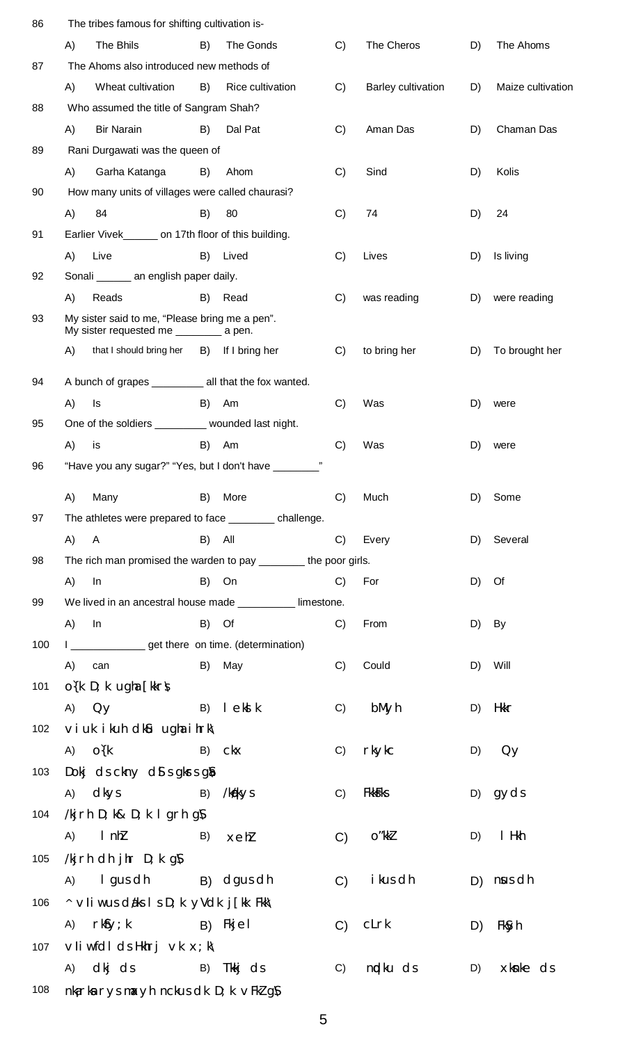| 86                                                                                                                                                                                                                                                                                                                                                                                                                                                                                                                                                                                                                                                                           | The tribes famous for shifting cultivation is-                                            |                        |               |                    |                                                                                                                                                                          |                   |
|------------------------------------------------------------------------------------------------------------------------------------------------------------------------------------------------------------------------------------------------------------------------------------------------------------------------------------------------------------------------------------------------------------------------------------------------------------------------------------------------------------------------------------------------------------------------------------------------------------------------------------------------------------------------------|-------------------------------------------------------------------------------------------|------------------------|---------------|--------------------|--------------------------------------------------------------------------------------------------------------------------------------------------------------------------|-------------------|
|                                                                                                                                                                                                                                                                                                                                                                                                                                                                                                                                                                                                                                                                              | The Bhils<br>A)                                                                           | B)<br>The Gonds        | C)            | The Cheros         | D)                                                                                                                                                                       | The Ahoms         |
| 87                                                                                                                                                                                                                                                                                                                                                                                                                                                                                                                                                                                                                                                                           | The Ahoms also introduced new methods of                                                  |                        |               |                    |                                                                                                                                                                          |                   |
|                                                                                                                                                                                                                                                                                                                                                                                                                                                                                                                                                                                                                                                                              | A)<br>Wheat cultivation                                                                   | B)<br>Rice cultivation | C)            | Barley cultivation | D)                                                                                                                                                                       | Maize cultivation |
| 88                                                                                                                                                                                                                                                                                                                                                                                                                                                                                                                                                                                                                                                                           | Who assumed the title of Sangram Shah?                                                    |                        |               |                    |                                                                                                                                                                          |                   |
|                                                                                                                                                                                                                                                                                                                                                                                                                                                                                                                                                                                                                                                                              | A)<br><b>Bir Narain</b>                                                                   | B)<br>Dal Pat          | C)            | Aman Das           | D)                                                                                                                                                                       | Chaman Das        |
| 89                                                                                                                                                                                                                                                                                                                                                                                                                                                                                                                                                                                                                                                                           | Rani Durgawati was the queen of                                                           |                        |               |                    | D)<br>Kolis<br>24<br>D)<br>Is living<br>D)<br>D)<br>D)<br>D)<br>were<br>D)<br>were<br>D) Some<br>D) Several<br>D) Of<br>By<br>D)<br>Will<br>D)<br>Hkkr<br>D)<br>D)<br>Qy |                   |
|                                                                                                                                                                                                                                                                                                                                                                                                                                                                                                                                                                                                                                                                              | A)<br>Garha Katanga                                                                       | B)<br>Ahom             | C)            | Sind               |                                                                                                                                                                          |                   |
| 90                                                                                                                                                                                                                                                                                                                                                                                                                                                                                                                                                                                                                                                                           | How many units of villages were called chaurasi?                                          |                        |               |                    | gyds<br>D)<br>I Hkh<br>D)<br>$D)$ nus dh<br>D)<br>FkSyh<br>D)                                                                                                            |                   |
|                                                                                                                                                                                                                                                                                                                                                                                                                                                                                                                                                                                                                                                                              | 84<br>A)                                                                                  | 80<br>B)               | C)            | 74                 |                                                                                                                                                                          |                   |
| 91                                                                                                                                                                                                                                                                                                                                                                                                                                                                                                                                                                                                                                                                           | Earlier Vivek_________ on 17th floor of this building.                                    |                        |               |                    |                                                                                                                                                                          |                   |
|                                                                                                                                                                                                                                                                                                                                                                                                                                                                                                                                                                                                                                                                              | A)<br>Live                                                                                | B)<br>Lived            | C)            | Lives              |                                                                                                                                                                          |                   |
| Sonali ________ an english paper daily.<br>92<br>A)<br>Reads<br>93<br>A)<br>94<br>A)<br>Is<br>95<br>A)<br>is<br>96<br>A)<br>Many<br>97<br>(A)<br>$\mathsf{A}$<br>The rich man promised the warden to pay ________ the poor girls.<br>98<br>A)<br>In<br>We lived in an ancestral house made __________ limestone.<br>99<br>A)<br>In<br>I __________________ get there on time. (determination)<br>100<br>A)<br>can<br>$O(K D; k$ ugha [kkr $\Lambda$<br>101<br>$A)$ $Qy$<br>$\vee$ i uk i kuh dk $\mathfrak{u}$ ugha i hrk $\wedge$<br>102<br>O(k)<br>A)<br>Dokj ds ckny ds s gkrs gs<br>103<br>dkys<br>A)<br>/kjrh D; k& D; k I grh g $\mathcal N$<br>104<br>$l$ n $h$<br>A) |                                                                                           |                        |               |                    |                                                                                                                                                                          |                   |
|                                                                                                                                                                                                                                                                                                                                                                                                                                                                                                                                                                                                                                                                              |                                                                                           | B)<br>Read             | C)            | was reading        |                                                                                                                                                                          | were reading      |
|                                                                                                                                                                                                                                                                                                                                                                                                                                                                                                                                                                                                                                                                              | My sister said to me, "Please bring me a pen".<br>My sister requested me _________ a pen. |                        |               |                    |                                                                                                                                                                          |                   |
| that I should bring her<br>If I bring her<br>B)<br>A bunch of grapes ___________ all that the fox wanted.<br>B)<br>Am<br>One of the soldiers _________ wounded last night.<br>B)<br>Am<br>"Have you any sugar?" "Yes, but I don't have _______<br>B)<br>More<br>The athletes were prepared to face __________ challenge.                                                                                                                                                                                                                                                                                                                                                     | C)                                                                                        | to bring her           |               | To brought her     |                                                                                                                                                                          |                   |
|                                                                                                                                                                                                                                                                                                                                                                                                                                                                                                                                                                                                                                                                              |                                                                                           |                        |               |                    |                                                                                                                                                                          |                   |
|                                                                                                                                                                                                                                                                                                                                                                                                                                                                                                                                                                                                                                                                              |                                                                                           |                        | C)            | Was                |                                                                                                                                                                          |                   |
|                                                                                                                                                                                                                                                                                                                                                                                                                                                                                                                                                                                                                                                                              |                                                                                           |                        |               |                    |                                                                                                                                                                          |                   |
|                                                                                                                                                                                                                                                                                                                                                                                                                                                                                                                                                                                                                                                                              |                                                                                           |                        | C)            | Was                |                                                                                                                                                                          |                   |
|                                                                                                                                                                                                                                                                                                                                                                                                                                                                                                                                                                                                                                                                              |                                                                                           |                        |               |                    |                                                                                                                                                                          |                   |
|                                                                                                                                                                                                                                                                                                                                                                                                                                                                                                                                                                                                                                                                              |                                                                                           |                        |               |                    |                                                                                                                                                                          |                   |
|                                                                                                                                                                                                                                                                                                                                                                                                                                                                                                                                                                                                                                                                              |                                                                                           |                        | C)            | Much               |                                                                                                                                                                          |                   |
|                                                                                                                                                                                                                                                                                                                                                                                                                                                                                                                                                                                                                                                                              |                                                                                           |                        |               |                    |                                                                                                                                                                          |                   |
|                                                                                                                                                                                                                                                                                                                                                                                                                                                                                                                                                                                                                                                                              |                                                                                           | B)<br>All              | C)            | Every              |                                                                                                                                                                          |                   |
|                                                                                                                                                                                                                                                                                                                                                                                                                                                                                                                                                                                                                                                                              |                                                                                           |                        |               |                    |                                                                                                                                                                          |                   |
|                                                                                                                                                                                                                                                                                                                                                                                                                                                                                                                                                                                                                                                                              |                                                                                           | B)<br>On               | C)            | For                |                                                                                                                                                                          |                   |
|                                                                                                                                                                                                                                                                                                                                                                                                                                                                                                                                                                                                                                                                              |                                                                                           |                        |               |                    |                                                                                                                                                                          |                   |
|                                                                                                                                                                                                                                                                                                                                                                                                                                                                                                                                                                                                                                                                              |                                                                                           | Of<br>B)               | C)            | From               |                                                                                                                                                                          |                   |
|                                                                                                                                                                                                                                                                                                                                                                                                                                                                                                                                                                                                                                                                              |                                                                                           |                        |               |                    |                                                                                                                                                                          |                   |
|                                                                                                                                                                                                                                                                                                                                                                                                                                                                                                                                                                                                                                                                              |                                                                                           | B) May                 | C)            | Could              |                                                                                                                                                                          |                   |
|                                                                                                                                                                                                                                                                                                                                                                                                                                                                                                                                                                                                                                                                              |                                                                                           |                        |               |                    |                                                                                                                                                                          |                   |
|                                                                                                                                                                                                                                                                                                                                                                                                                                                                                                                                                                                                                                                                              |                                                                                           | $B)$ $\vert$ ek $k$    | C)            | bMyh               |                                                                                                                                                                          |                   |
|                                                                                                                                                                                                                                                                                                                                                                                                                                                                                                                                                                                                                                                                              |                                                                                           |                        |               |                    |                                                                                                                                                                          |                   |
|                                                                                                                                                                                                                                                                                                                                                                                                                                                                                                                                                                                                                                                                              |                                                                                           | B) Ckx                 | C)            | rkykc              |                                                                                                                                                                          |                   |
|                                                                                                                                                                                                                                                                                                                                                                                                                                                                                                                                                                                                                                                                              |                                                                                           |                        |               |                    |                                                                                                                                                                          |                   |
|                                                                                                                                                                                                                                                                                                                                                                                                                                                                                                                                                                                                                                                                              |                                                                                           | B)<br>/kg/kys          | C)            | <b>Fkkffks</b>     |                                                                                                                                                                          |                   |
|                                                                                                                                                                                                                                                                                                                                                                                                                                                                                                                                                                                                                                                                              |                                                                                           |                        |               |                    |                                                                                                                                                                          |                   |
|                                                                                                                                                                                                                                                                                                                                                                                                                                                                                                                                                                                                                                                                              |                                                                                           | B)<br>xehl             | C)            | O"kkl              |                                                                                                                                                                          |                   |
| 105                                                                                                                                                                                                                                                                                                                                                                                                                                                                                                                                                                                                                                                                          | /kj rh dh jhr $D$ ; k g $\mathcal N$                                                      |                        |               |                    |                                                                                                                                                                          |                   |
|                                                                                                                                                                                                                                                                                                                                                                                                                                                                                                                                                                                                                                                                              | I gus dh B) dgus dh<br>(A)                                                                |                        | C)            | i kus dh           |                                                                                                                                                                          |                   |
| 106                                                                                                                                                                                                                                                                                                                                                                                                                                                                                                                                                                                                                                                                          | $\land$ vii w us daks I s D; k yVdk j[kk Fkk $\setminus$                                  |                        |               |                    |                                                                                                                                                                          |                   |
|                                                                                                                                                                                                                                                                                                                                                                                                                                                                                                                                                                                                                                                                              | $rk$ fy; k<br>A)                                                                          | B) Fkjel               | $\mathcal{C}$ | cLrk               |                                                                                                                                                                          |                   |
| 107                                                                                                                                                                                                                                                                                                                                                                                                                                                                                                                                                                                                                                                                          | $V$ liwfdl ds Hkhrj $V$ k $x$ ; k $V$                                                     |                        |               |                    |                                                                                                                                                                          |                   |
|                                                                                                                                                                                                                                                                                                                                                                                                                                                                                                                                                                                                                                                                              | A) dkj ds                                                                                 | B) Tkkj ds             | C)            | nidku ds           |                                                                                                                                                                          | xknke ds          |
| 108                                                                                                                                                                                                                                                                                                                                                                                                                                                                                                                                                                                                                                                                          | nkarka rys maxyh nckus dk D; k vFkl gN                                                    |                        |               |                    |                                                                                                                                                                          |                   |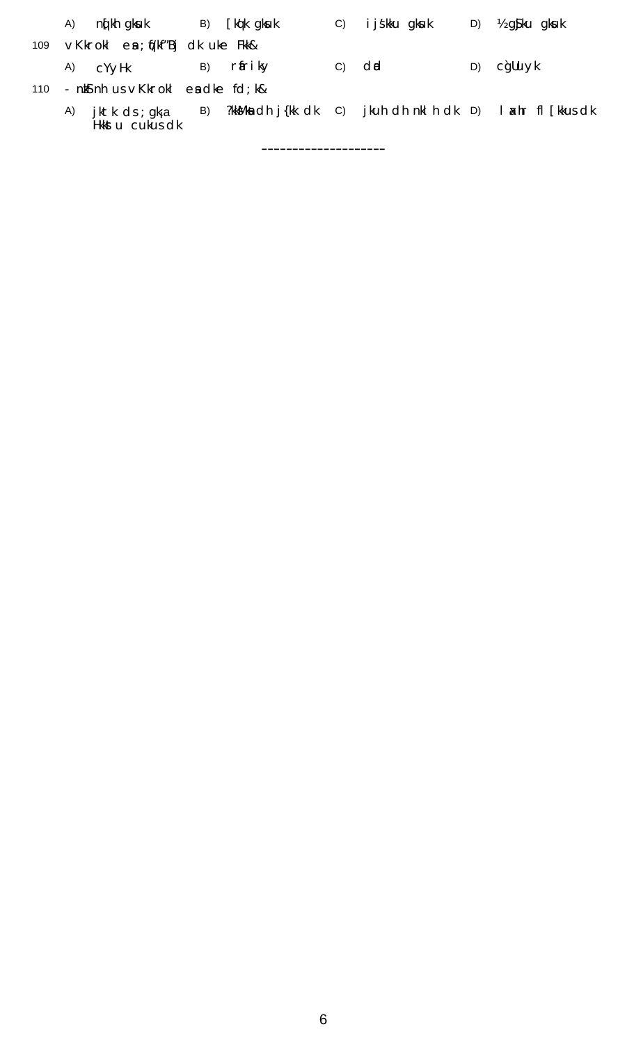|     | A) | jktk ds ; gkja<br>Hkkst u cukus dk         | B) |                 | ?kkMka ch j{kk chk c) jkuh ch nkl h chk D) I axhr fl [kkus chk |    |                              |
|-----|----|--------------------------------------------|----|-----------------|----------------------------------------------------------------|----|------------------------------|
| 110 |    | - $nk$ s nh us $\vee$ Kkrokl es dke fd; k& |    |                 |                                                                |    |                              |
|     | A) | CYVHK                                      | B) | rfri ky         | $C)$ dd                                                        | D) | c`gUuyk                      |
| 109 |    | vKkrokl en ; (j/kf″Bj dk uke Fkk&          |    |                 |                                                                |    |                              |
|     | A) | ng kh gkuk                                 |    | B) [kq'k' gksuk | C) i j sk ku gku k                                             |    | D) $\frac{1}{2}$ g ku g ku k |
|     |    |                                            |    |                 |                                                                |    |                              |